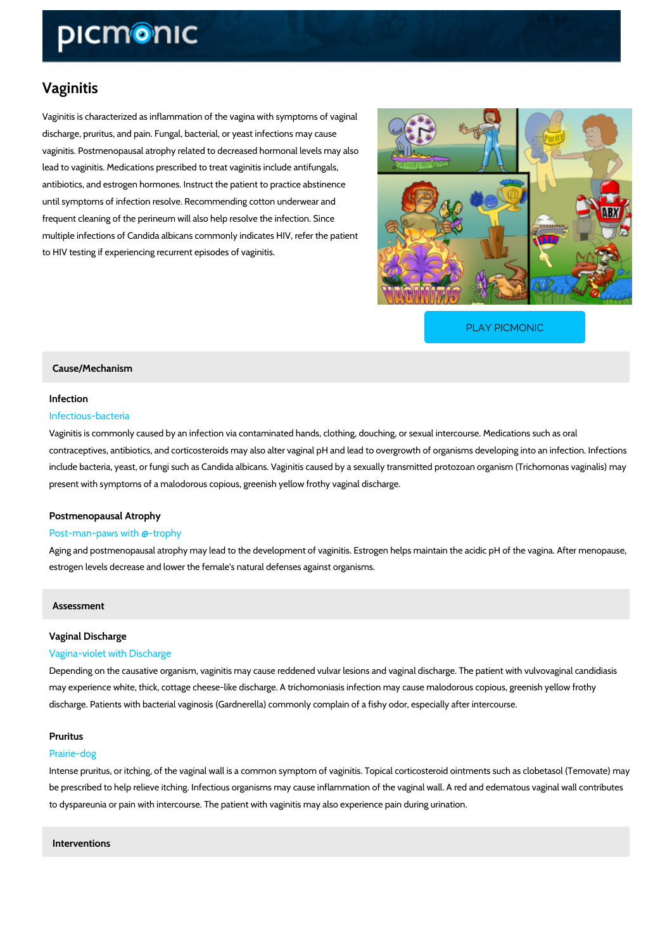## Vaginitis

Vaginitis is characterized as inflammation of the vagina with symptoms of vaginal discharge, pruritus, and pain. Fungal, bacterial, or yeast infections may cause vaginitis. Postmenopausal atrophy related to decreased hormonal levels may also lead to vaginitis. Medications prescribed to treat vaginitis include antifungals, antibiotics, and estrogen hormones. Instruct the patient to practice abstinence until symptoms of infection resolve. Recommending cotton underwear and frequent cleaning of the perineum will also help resolve the infection. Since multiple infections of Candida albicans commonly indicates HIV, refer the patient to HIV testing if experiencing recurrent episodes of vaginitis.

[PLAY PICMONIC](https://www.picmonic.com/learn/vaginitis_2279?utm_source=downloadable_content&utm_medium=distributedcontent&utm_campaign=pathways_pdf&utm_content=Vaginitis&utm_ad_group=leads&utm_market=all)

#### Cause/Mechanism

# Infection

### Infectious-bacteria

Vaginitis is commonly caused by an infection via contaminated hands, clothing, douching, or s contraceptives, antibiotics, and corticosteroids may also alter vaginal pH and lead to overgro include bacteria, yeast, or fungi such as Candida albicans. Vaginitis caused by a sexually tra present with symptoms of a malodorous copious, greenish yellow frothy vaginal discharge.

#### Postmenopausal Atrophy

#### Post-man-paws with @-trophy

Aging and postmenopausal atrophy may lead to the development of vaginitis. Estrogen helps m estrogen levels decrease and lower the female's natural defenses against organisms.

#### Assessment

## Vaginal Discharge

### Vagina-violet with Discharge

Depending on the causative organism, vaginitis may cause reddened vulvar lesions and vagina may experience white, thick, cottage cheese-like discharge. A trichomoniasis infection may ca discharge. Patients with bacterial vaginosis (Gardnerella) commonly complain of a fishy odor,

#### Pruritus

#### Prairie-dog

Intense pruritus, or itching, of the vaginal wall is a common symptom of vaginitis. Topical cor be prescribed to help relieve itching. Infectious organisms may cause inflammation of the vag to dyspareunia or pain with intercourse. The patient with vaginitis may also experience pain d

Interventions